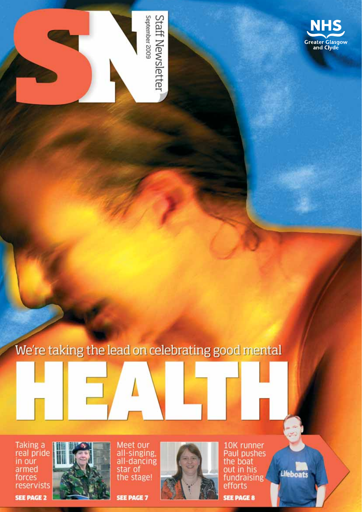

Staff Newsletter September 2009

We're taking the lead on celebrating good mental

Taking a<br>real pride<br>in our armed forces reservists

**SEE PAGE 2** 



Meet our<br>all-singing,<br>all-dancing<br>star of the stage!

**SEE PAGE 7** 



10K runner<br>Paul pushes<br>the boat<br>out in his fundraising efforts

Lifeboats

**SEE PAGE 8**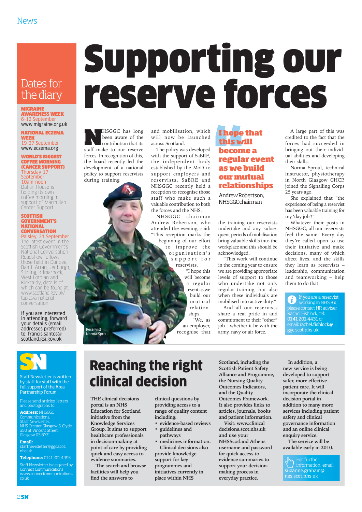### Dates for the diary

**MIGRAINE** AWARENESS WEEK 6-12 September

#### www.migraine.org.uk NATIONAL ECZEMA

WEEK 19-27 September www.eczema.org

#### WORLD'S BIGGEST COFFEE MORNING (CANCER SUPPORT) Thursday 17 **September**

10am-noon Dalian House is holding its own coffee morning in support of Macmillan Cancer Support.

#### SCOTTISH GOVERNMENT'S NATIONAL **CONVERSATION** Paisley, 21 September

The latest event in the Scottish Government's National Conversation Roadshow follows those held in Dundee, Banff, Arran, Jedburgh, Stirling, Kilmarnock, West Lothian and Kirkcaldy, details of which can be found at: www.scotland.gov.uk/ topics/a-nationalconversation

#### If you are interested in attending, forward your details (email addresses preferred) to: francis.santos@ scotland.gsi.gov.uk



Staff Newsletter is written by staff for staff with the full support of the Area Partnership Forum

Please send articles, letters and photographs to: **Address:** NHSGGC

inications Staff Newsletter, NHS Greater Glasgow & Clyde, 350 St Vincent Street, Glasgow G3 8YZ

**Email:**<br>staffnewsletter@ggc.scot.<br>nhs.uk

**Telephone:** 0141 201 4995

Staff Newsletter is designed by Connect Communications www.connectcommunications. co.uk

## Supporting our reserve forces

**NHSGGC** has long<br>been aware of the<br>contribution that its<br>staff make to our reserve been aware of the contribution that its forces. In recognition of this, the board recently led the development of a national policy to support reservists during training

and mobilisation, which will now be launched across Scotland.

The policy was developed with the support of SaBRE, the independent body established by the MoD to support employers and reservists. SaBRE and NHSGGC recently held a reception to recognise those staff who make such a valuable contribution to both the forces and the NHS.

NHSGGC chairman Andrew Robertson, who attended the evening, said: "This reception marks the beginning of our effort to improve the organisation's support for reservists.

"I hope this will become a regular event as we build our mutual relationships. "We, as

an employer, recognise that

#### **I hope that this will become a regular event as we build our mutual relationships**

Andrew Robertson, NHSGGC chairman

the training our reservists undertake and any subsequent periods of mobilisation bring valuable skills into the workplace and this should be acknowledged.

"This work will continue in the coming year to ensure we are providing appropriate levels of support to those who undertake not only regular training, but also when these individuals are mobilised into active duty."

And all our reservists share a real pride in and commitment to their "other" job – whether it be with the army, navy or air force.

A large part of this was credited to the fact that the forces had succeeded in bringing out their individual abilities and developing their skills.

Norma Sproul, technical instructor, physiotherapy in North Glasgow CHCP, joined the Signalling Corps 25 years ago.

She explained that "the experience of being a reservist has been valuable training for my 'day job'!"

Whatever their posts in NHSGGC, all our reservists feel the same. Every day they're called upon to use their initiative and make decisions, many of which affect lives, and the skills they learn as reservists – leadership, communication and teamworking – help them to do that.

If you are a reservist  $\mathbf{i}$ working in NHSGGC please contact HR adviser Rachel Fishlock, tel: 0141 201 4431 or email: rachel.fishlock@ ggc.scot.nhs.uk

## Reaching the right clinical decision

**THE clinical decisions portal is an NHS Education for Scotland initiative from the Knowledge Services Group. It aims to support healthcare professionals in decision-making at point of care by providing quick and easy access to**

Reservist Norma Sproul

> **evidence summaries. The search and browse facilities will help you find the answers to**

**clinical questions by providing access to a range of quality content including:**

- **evidence-based reviews • guidelines and**
- **pathways • medicines information. Clinical decisions also provide knowledge support for key programmes and initiatives currently in place within NHS**

**Scotland, including the Scottish Patient Safety Alliance and Programme, the Nursing Quality Outcomes Indicators, and the Quality Outcomes Framework. It also provides links to articles, journals, books and patient information.**

**Visit: www.clinical decisions.scot.nhs.uk and use your NHSScotland Athens username and password for quick access to evidence summaries to support your decisionmaking process in everyday practice.** 

**In addition, a new service is being developed to support safer, more effective patient care. It will incorporate the clinical decision portal in addition to many more services including patient safety and clinical governance information and an online clinical enquiry service.** 

**The service will be available early in 2010.**

For further D suzanne.graham@ nes.scot.nhs.uk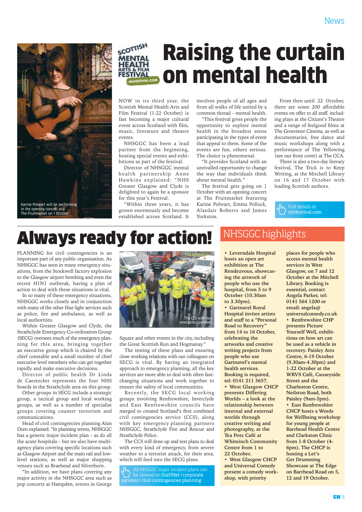

## **COTTISH** Raising the curtain on mental health

NOW in its third year, the Scottish Mental Health Arts and Film Festival (1-22 October) is fast becoming a major cultural event across Scotland with film, music, literature and theatre events.

NHSGGC has been a lead partner from the beginning, hosting special events and exhibitions as part of the festival.

Director of NHSGGC mental health partnership Anne Hawkins explained: "NHS Greater Glasgow and Clyde is delighted to again be a sponsor for this year's Festival.

"Within three years, it has grown enormously and become established across Scotland. It involves people of all ages and from all walks of life united by a common thread – mental health.

"This festival gives people the opportunity to explore mental health in the broadest sense participating in the types of event that appeal to them. Some of the events are fun, others serious. The choice is phenomenal.

"It provides Scotland with an unrivalled opportunity to change the way that individuals think about mental health."

The festival gets going on 1 October with an opening concert at The Fruitmarket featuring Karine Polwart, Emma Pollock, Alasdair Roberts and James Yorkston.

From then until 22 October, there are some 200 affordable events on offer to all staff, including plays at the Citizen's Theatre and a range of feelgood films at The Grosvenor Cinema, as well as documentaries, free dance and music workshops along with a performance of The Yellowing (see our front cover) at The CCA.

There is also a two-day literary festival, The Trick is to Keep Writing, at the Mitchell Library on 16 and 17 October with leading Scottish authors.

Full details at: mhfestival.com

## Always ready for action!

PLANNING for civil contingencies is an important part of any public organisation. As NHSGGC has seen in many emergency situations, from the Stockwell factory explosion to the Glasgow airport bombing and even the recent H1N1 outbreak, having a plan of action to deal with these situations is vital.

In so many of these emergency situations, NHSGGC works closely and in conjunction with many of the other blue light services such as police, fire and ambulance, as well as local authorities.

Within Greater Glasgow and Clyde, the Strathclyde Emergency Co-ordination Group (SECG) oversees much of the emergency planning for this area, bringing together an executive group which is chaired by the chief constable and a small number of chief executive level members who can get together rapidly and make executive decisions.

Director of public health Dr Linda de Caestecker represents the four NHS boards in the Strathclyde area on this group.

Other groups in SECG include a strategic group, a tactical group and local working groups, as well as a number of specialist groups covering counter terrorism and communications.

Head of civil contingencies planning Alan Dorn explained: "In planning terms, NHSGGC has a generic major incident plan – as do all the acute hospitals – but we also have multiagency plans covering specific locations such as Glasgow Airport and the main rail and lowlevel stations, as well as major shopping venues such as Braehead and Silverburn.

"In addition, we have plans covering any major activity in the NHSGGC area such as pop concerts at Hampden, events in George



Square and other events in the city, including the Great Scottish Run and Hogmanay."

The testing of these plans and ensuring close working relations with our colleagues on SECG is vital. By having an integrated approach to emergency planning, all the key services are more able to deal with often fastchanging situations and work together to ensure the safety of local communities.

Recently, the SECG local working groups involving Renfrewshire, Inverclyde and East Renfrewshire councils have merged to created Scotland's first combined civil contingencies service (CCS), along with key emergency planning partners NHSGGC, Strathclyde Fire and Rescue and Strathclyde Police.

The CCS will draw up and test plans to deal with every kind of emergency, from severe weather to a terrorist attack, for their area, which will feed into the SECG plans.

All NHSGGC major incident plans can be viewed on StaffNet > corporate services>civil contingencies planning

### NHSGGC highlights

**• Leverndale Hospital hosts an open art exhibition at The Rendezvous, showcasing the artwork of people who use the hospital, from 5 to 9 October (10.30am to 3.30pm). • Gartnavel Royal Hospital invites artists and staff to a "Personal Road to Recovery" from 14 to 16 October, celebrating the artworks and creative writing projects from people who use Gartnavel's mental health services. Booking is required, tel: 0141 211 3657. • West Glasgow CHCP presents Differing Worlds – a look at the relationship between internal and external worlds through creative writing and photography, at the Tea Pots Café at Whiteinch Community Centre from 1 to 22 October. • West Glasgow CHCP and Universal Comedy present a comedy workshop, with priority**

**places for people who access mental health services in West Glasgow, on 7 and 12 October at the Mitchell Library. Booking is essential, contact Angela Parker, tel: 0141 564 1200 or email: angela@ universalcomedy.co.uk • Renfrewshire CHP presents Picture Yourself Well, exhibitions on how art can be used as a vehicle in recovery. Paisley Arts Centre, 6-19 October (9.30am-4.30pm) and 1-22 October at the WRVS Café, Causeyside Street and the Charleston Centre, Neilston Road, both Paisley (9am-5pm). • East Renfrewshire CHCP hosts a Words for Wellbeing workshop for young people at Barrhead Health Centre and Clarkston Clinic from 1-8 October (4- 6pm). The CHCP is hosting a Let's Get Drumming Showcase at The Edge on Barrhead Road on 5, 12 and 19 October.**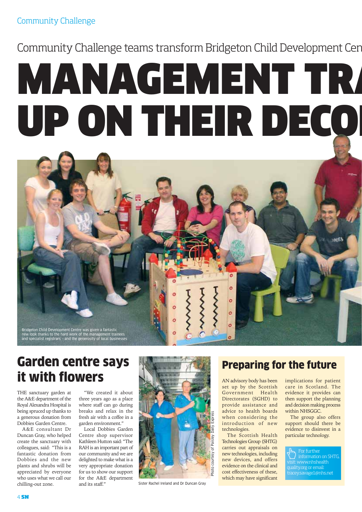## Community Challenge teams transform Bridgeton Child Development Cen

# MANAGEMENT TRA UP ON THEIR DECO



## Garden centre says **Preparing for the future** it with flowers

THE sanctuary garden at the A&E department of the Royal Alexandra Hospital is being spruced up thanks to a generous donation from Dobbies Garden Centre.

A&E consultant Dr Duncan Gray, who helped create the sanctuary with colleagues, said: "This is a fantastic donation from Dobbies and the new plants and shrubs will be appreciated by everyone who uses what we call our chilling-out zone.

"We created it about three years ago as a place where staff can go during breaks and relax in the fresh air with a coffee in a garden environment."

Local Dobbies Garden Centre shop supervisor Kathleen Hutton said: "The RAH is an important part of our community and we are delighted to make what is a very appropriate donation for us to show our support for the A&E department and its staff."



Sister Rachel Ireland and Dr Duncan Gray

AN advisory body has been set up by the Scottish Government Health Directorates (SGHD) to provide assistance and advice to health boards when considering the introduction of new technologies.

The Scottish Health Technologies Group (SHTG) carries out appraisals on new technologies, including new devices, and offers evidence on the clinical and cost effectiveness of these, which may have significant

implications for patient care in Scotland. The evidence it provides can then support the planning and decision making process within NHSGGC.

The group also offers support should there be evidence to disinvest in a particular technology.

For further information on SHTG, visit: www.nhshealth quality.org or email: tracey.savage1@nhs.net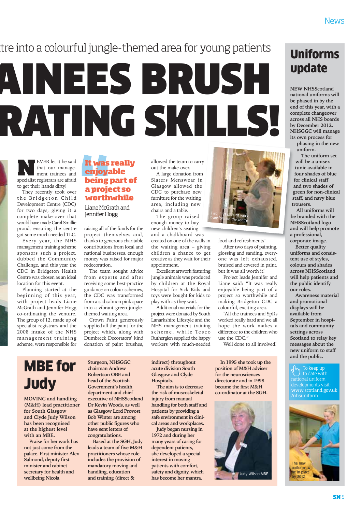## tre into a colourful jungle-themed area for young patients

# AINEES BRUSH RATING SKILLS!

EVER let it be said<br>that our manage-<br>ment trainees and<br>specialist reqistrars are afraid that our management trainees and specialist registrars are afraid to get their hands dirty!

They recently took over the Bridgeton Child Development Centre (CDC) for two days, giving it a complete make-over that would have made Carol Smillie proud, ensuring the centre got some much-needed TLC.

Every year, the NHS management training scheme sponsors such a project, dubbed the Community Challenge, and this year the CDC in Bridgeton Health Centre was chosen as an ideal location for this event.

Planning started at the beginning of this year, with project leads Liane McGrath and Jennifer Hogg co-ordinating the venture. The group of 12, made up of specialist registrars and the 2008 intake of the NHS management training scheme, were responsible for

#### **It was really enjoyable being part of a project so worthwhile**

Liane McGrath and Jennifer Hogg

raising all of the funds for the project themselves and, thanks to generous charitable contributions from local and national businesses, enough money was raised for major redecoration.

The team sought advice from experts and after receiving some best-practice guidance on colour schemes, the CDC was transformed from a sad salmon pink space into a vibrant green junglethemed waiting area.

Crown Paint generously supplied all the paint for the project which, along with Dumbreck Decorators' kind donation of paint brushes, allowed the team to carry out the make-over.

A large donation from Slaters Menswear in Glasgow allowed the CDC to purchase new furniture for the waiting area, including new chairs and a table.

The group raised enough money to buy new children's seating and a chalkboard was created on one of the walls in the waiting area – giving children a chance to get creative as they wait for their appointment.

Excellent artwork featuring jungle animals was produced by children at the Royal Hospital for Sick Kids and toys were bought for kids to play with as they wait.

Additional materials for the project were donated by South Lanarkshire Lifestyle and the NHS management training scheme, while Tesco Rutherglen supplied the happy workers with much-needed



food and refreshments!

After two days of painting, glossing and sanding, everyone was left exhausted, bruised and covered in paint, but it was all worth it!

Project leads Jennifer and Liane said: "It was really enjoyable being part of a project so worthwhile and making Bridgeton CDC a colourful, exciting area.

"All the trainees and SpRs worked really hard and we all hope the work makes a difference to the children who use the CDC."

Well done to all involved!

## MBE for Judy

**MOVING and handling (M&H) lead practitioner for South Glasgow and Clyde Judy Wilson has been recognised at the highest level with an MBE.**

**Praise for her work has not just come from the palace. First minister Alex Salmond, deputy first minister and cabinet secretary for health and wellbeing Nicola**

**Sturgeon, NHSGGC chairman Andrew Robertson OBE and head of the Scottish Government's health department and chief executive of NHSScotland Dr Kevin Woods, as well as Glasgow Lord Provost Bob Winter are among other public figures who have sent letters of congratulations.**

**Based at the SGH, Judy leads a team of five M&H practitioners whose role includes the provision of mandatory moving and handling, education and training (direct &**

**indirect) throughout acute division South Glasgow and Clyde Hospitals.** 

**The aim is to decrease the risk of muscoskeletal injury from manual handling for both staff and patients by providing a safe environment in clinical areas and workplaces.**

**Judy began nursing in 1972 and during her many years of caring for dependent patients, she developed a special interest in moving patients with comfort, safety and dignity, which has become her mantra.**

**In 1995 she took up the position of M&H adviser for the neurosciences directorate and in 1998 became the first M&H co-ordinator at the SGH.** 



## Uniforms update

**NEW NHSScotland national uniforms will be phased in by the end of this year, with a complete changeover across all NHS boards by December 2012. NHSGGC will manage its own process for**

**phasing in the new uniform.** 

**The uniform set will be a unisex tunic available in four shades of blue for clinical staff and two shades of green for non-clinical staff, and navy blue**

**All uniforms will be branded with the NHSScotland logo and will help promote a professional, corporate image.** 

**trousers.** 

**Better quality uniforms and consistent use of styles, colours and shades across NHSScotland will help patients and the public identify our roles.** 

**Awareness material and promotional displays will be available from September in hospitals and community settings across Scotland to relay key messages about the new uniform to staff and the public.** 

To keep up to date with national uniform www.scotland.gov.uk /nhsuniform

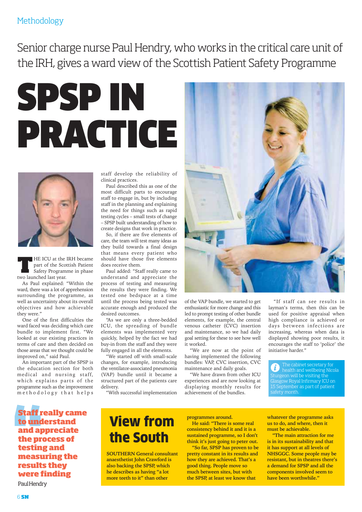#### Methodology

Senior charge nurse Paul Hendry, who works in the critical care unit of the IRH, gives a ward view of the Scottish Patient Safety Programme





**THE ICU** at the IRH became<br>part of the Scottish Patient<br>Safety Programme in phase part of the Scottish Patient Safety Programme in phase two launched last year.

As Paul explained: "Within the ward, there was a lot of apprehension surrounding the programme, as well as uncertainty about its overall objectives and how achievable they were."

One of the first difficulties the ward faced was deciding which care bundle to implement first. "We looked at our existing practices in terms of care and then decided on those areas that we thought could be improved on," said Paul.

An important part of the SPSP is the education section for both medical and nursing staff, which explains parts of the programme such as the improvement methodology that helps

staff develop the reliability of clinical practices.

Paul described this as one of the most difficult parts to encourage staff to engage in, but by including staff in the planning and explaining the need for things such as rapid testing cycles – small tests of change – SPSP built understanding of how to create designs that work in practice.

So, if there are five elements of care, the team will test many ideas as they build towards a final design that means every patient who should have those five elements does receive them.

Paul added: "Staff really came to understand and appreciate the process of testing and measuring the results they were finding. We tested one bedspace at a time until the process being tested was accurate enough and produced the desired outcomes.

"As we are only a three-bedded ICU, the spreading of bundle elements was implemented very quickly, helped by the fact we had buy-in from the staff and they were fully engaged in all the elements.

"We started off with small-scale changes, for example, introducing the ventilator-associated pneumonia (VAP) bundle until it became a structured part of the patients care delivery.

"With successful implementation



of the VAP bundle, we started to get enthusiastic for more change and this led to prompt testing of other bundle elements, for example, the central venous catheter (CVC) insertion and maintenance, so we had daily goal setting for these to see how well it worked.

"We are now at the point of having implemented the following bundles: VAP, CVC insertion, CVC maintenance and daily goals.

"We have drawn from other ICU experiences and are now looking at displaying monthly results for achievement of the bundles.

"If staff can see results in layman's terms, then this can be used for positive appraisal when high compliance is achieved or days between infections are increasing, whereas when data is displayed showing poor results, it encourages the staff to 'police' the initiative harder."

The cabinet secretary for health and wellbeing Nicola Sturgeon will be visiting the Glasgow Royal Infirmary ICU on September as part of patient safety month.

**Staff really came to understand and appreciate the process of testing and measuring the results they were finding**

Paul Hendry

## View from the South

**SOUTHERN General consultant anaesthetist John Crawford is also backing the SPSP, which he describes as having "a lot more teeth to it" than other**

**programmes around.**

**He said: "There is some real consistency behind it and it is a sustained programme, so I don't think it's just going to peter out.**

**"So far, SPSP has proven to be pretty constant in its results and how they are achieved. That's a good thing. People move so much between sites, but with the SPSP, at least we know that**

**whatever the programme asks us to do, and where, then it must be achievable.** 

**"The main attraction for me is in its sustainability and that it has support at all levels of NHSGGC. Some people may be resistant, but in theatres there's a demand for SPSP and all the components involved seem to have been worthwhile."**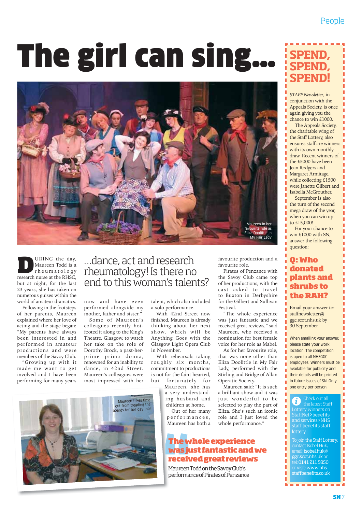# The girl can sing…



**DRING** the day,<br> **DERIVE THE MANUS**<br> **PERIME THE RHSC,**<br> **PERIME THE RHSC,** Maureen Todd is a rheumatology but at night, for the last 23 years, she has taken on numerous guises within the world of amateur dramatics.

Following in the footsteps of her parents, Maureen explained where her love of acting and the stage began: "My parents have always been interested in and performed in amateur productions and were members of the Savoy Club.

"Growing up with it made me want to get involved and I have been performing for many years

#### …dance, act and research rheumatology! Is there no end to this woman's talents?

now and have even performed alongside my mother, father and sister."

Some of Maureen's colleagues recently hotfooted it along to the King's Theatre, Glasgow, to watch her take on the role of Dorothy Brock, a past-herprime prima donna, renowned for an inability to dance, in 42nd Street. Maureen's colleagues were most impressed with her

talent, which also included a solo performance.

With 42nd Street now finished, Maureen is already thinking about her next show, which will be Anything Goes with the Glasgow Light Opera Club in November.

With rehearsals taking roughly six months, commitment to productions is not for the faint hearted, but fortunately for

Maureen, she has a very understanding husband and children at home.

Out of her many performances, .<br>Maureen has both a

#### **The whole experience was just fantastic and we received great reviews**

Maureen Todd on the Savoy Club's performance of Pirates of Penzance

### **SPEND, SPEND, SPEND!**

*STAFF Newsletter*, in conjunction with the Appeals Society, is once again giving you the chance to win £1000.

The Appeals Society, the charitable wing of the Staff Lottery, also ensures staff are winners with its own monthly draw. Recent winners of the £5000 have been Jean Rodgers and Margaret Armitage, while collecting £1500 were Janette Gilbert and Isabella McGrouther.

September is also the turn of the second mega draw of the year, when you can win up to £15,000!

For your chance to win £1000 with SN, answer the following question:

favourite production and a

Pirates of Penzance with the Savoy Club came top of her productions, with the cast asked to travel to Buxton in Derbyshire for the Gilbert and Sullivan

"The whole experience was just fantastic and we received great reviews," said Maureen, who received a nomination for best female voice for her role as Mabel. As for her favourite role, that was none other than Eliza Doolittle in My Fair Lady, performed with the Stirling and Bridge of Allan

favourite role.

Festival.

Operatic Society.

Maureen said: "It is such a brilliant show and it was just wonderful to be selected to play the part of Eliza. She's such an iconic role and I just loved the whole performance.'

#### **Q: Who donated plants and shrubs to the RAH?**

Email your answer to: staffnewsletter@ ggc.scot.nhs.uk by 30 September.

When emailing your answer, please state your work location. The competition is open to all NHSGGC employees. Winners must be available for publicity and their details will be printed in future issues of SN. Only one entry per person.

Check out all Ĭ. the latest Staff StaffNet>benefits and services>NHS staff benefits staff lottery

To join the Staff Lottery, contact Isobel Huk, email: isobel.huk@ ggc.scot.nhs.uk or  $\frac{1}{2}$ : 0141 211 5850 visit: www.nhs staffbenefits.co.uk

- - - - -